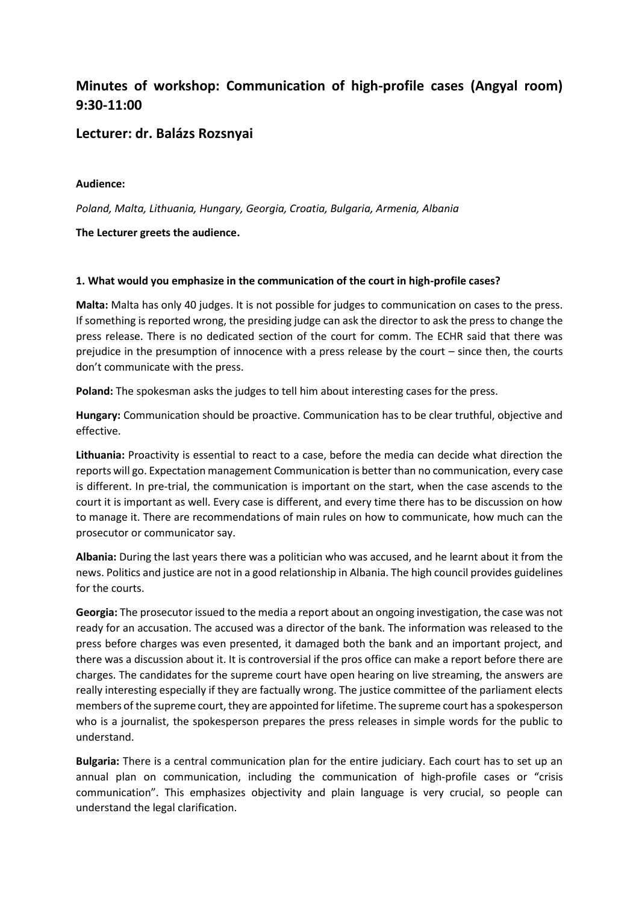# **Minutes of workshop: Communication of high-profile cases (Angyal room) 9:30-11:00**

# **Lecturer: dr. Balázs Rozsnyai**

#### **Audience:**

*Poland, Malta, Lithuania, Hungary, Georgia, Croatia, Bulgaria, Armenia, Albania*

### **The Lecturer greets the audience.**

### **1. What would you emphasize in the communication of the court in high-profile cases?**

**Malta:** Malta has only 40 judges. It is not possible for judges to communication on cases to the press. If something is reported wrong, the presiding judge can ask the director to ask the press to change the press release. There is no dedicated section of the court for comm. The ECHR said that there was prejudice in the presumption of innocence with a press release by the court – since then, the courts don't communicate with the press.

**Poland:** The spokesman asks the judges to tell him about interesting cases for the press.

**Hungary:** Communication should be proactive. Communication has to be clear truthful, objective and effective.

**Lithuania:** Proactivity is essential to react to a case, before the media can decide what direction the reports will go. Expectation management Communication is better than no communication, every case is different. In pre-trial, the communication is important on the start, when the case ascends to the court it is important as well. Every case is different, and every time there has to be discussion on how to manage it. There are recommendations of main rules on how to communicate, how much can the prosecutor or communicator say.

**Albania:** During the last years there was a politician who was accused, and he learnt about it from the news. Politics and justice are not in a good relationship in Albania. The high council provides guidelines for the courts.

**Georgia:** The prosecutor issued to the media a report about an ongoing investigation, the case was not ready for an accusation. The accused was a director of the bank. The information was released to the press before charges was even presented, it damaged both the bank and an important project, and there was a discussion about it. It is controversial if the pros office can make a report before there are charges. The candidates for the supreme court have open hearing on live streaming, the answers are really interesting especially if they are factually wrong. The justice committee of the parliament elects members of the supreme court, they are appointed for lifetime. The supreme court has a spokesperson who is a journalist, the spokesperson prepares the press releases in simple words for the public to understand.

**Bulgaria:** There is a central communication plan for the entire judiciary. Each court has to set up an annual plan on communication, including the communication of high-profile cases or "crisis communication". This emphasizes objectivity and plain language is very crucial, so people can understand the legal clarification.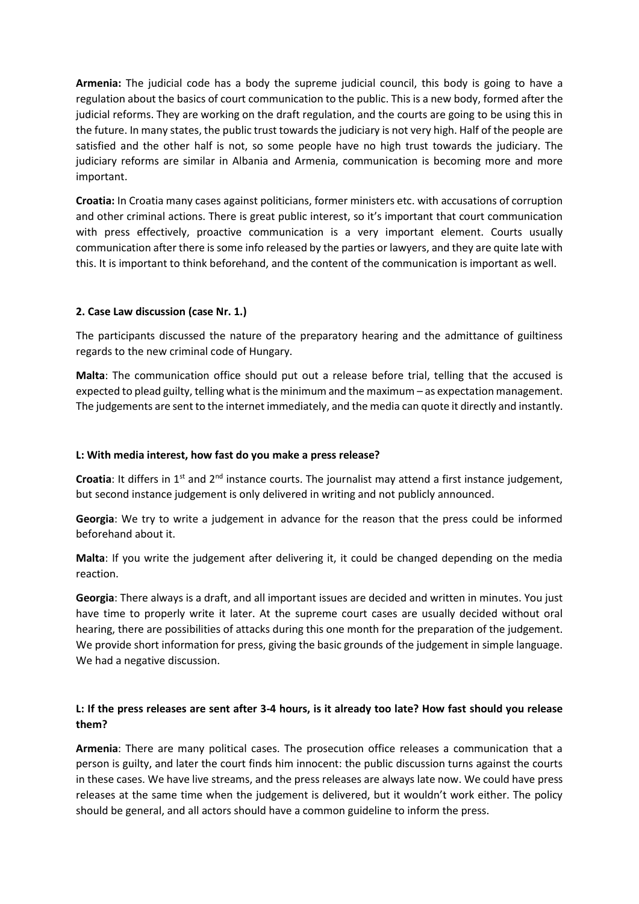**Armenia:** The judicial code has a body the supreme judicial council, this body is going to have a regulation about the basics of court communication to the public. This is a new body, formed after the judicial reforms. They are working on the draft regulation, and the courts are going to be using this in the future. In many states, the public trust towards the judiciary is not very high. Half of the people are satisfied and the other half is not, so some people have no high trust towards the judiciary. The judiciary reforms are similar in Albania and Armenia, communication is becoming more and more important.

**Croatia:** In Croatia many cases against politicians, former ministers etc. with accusations of corruption and other criminal actions. There is great public interest, so it's important that court communication with press effectively, proactive communication is a very important element. Courts usually communication after there is some info released by the parties or lawyers, and they are quite late with this. It is important to think beforehand, and the content of the communication is important as well.

## **2. Case Law discussion (case Nr. 1.)**

The participants discussed the nature of the preparatory hearing and the admittance of guiltiness regards to the new criminal code of Hungary.

**Malta**: The communication office should put out a release before trial, telling that the accused is expected to plead guilty, telling what is the minimum and the maximum – as expectation management. The judgements are sent to the internet immediately, and the media can quote it directly and instantly.

#### **L: With media interest, how fast do you make a press release?**

Croatia: It differs in 1<sup>st</sup> and 2<sup>nd</sup> instance courts. The journalist may attend a first instance judgement, but second instance judgement is only delivered in writing and not publicly announced.

**Georgia**: We try to write a judgement in advance for the reason that the press could be informed beforehand about it.

**Malta**: If you write the judgement after delivering it, it could be changed depending on the media reaction.

**Georgia**: There always is a draft, and all important issues are decided and written in minutes. You just have time to properly write it later. At the supreme court cases are usually decided without oral hearing, there are possibilities of attacks during this one month for the preparation of the judgement. We provide short information for press, giving the basic grounds of the judgement in simple language. We had a negative discussion.

## **L: If the press releases are sent after 3-4 hours, is it already too late? How fast should you release them?**

**Armenia**: There are many political cases. The prosecution office releases a communication that a person is guilty, and later the court finds him innocent: the public discussion turns against the courts in these cases. We have live streams, and the press releases are always late now. We could have press releases at the same time when the judgement is delivered, but it wouldn't work either. The policy should be general, and all actors should have a common guideline to inform the press.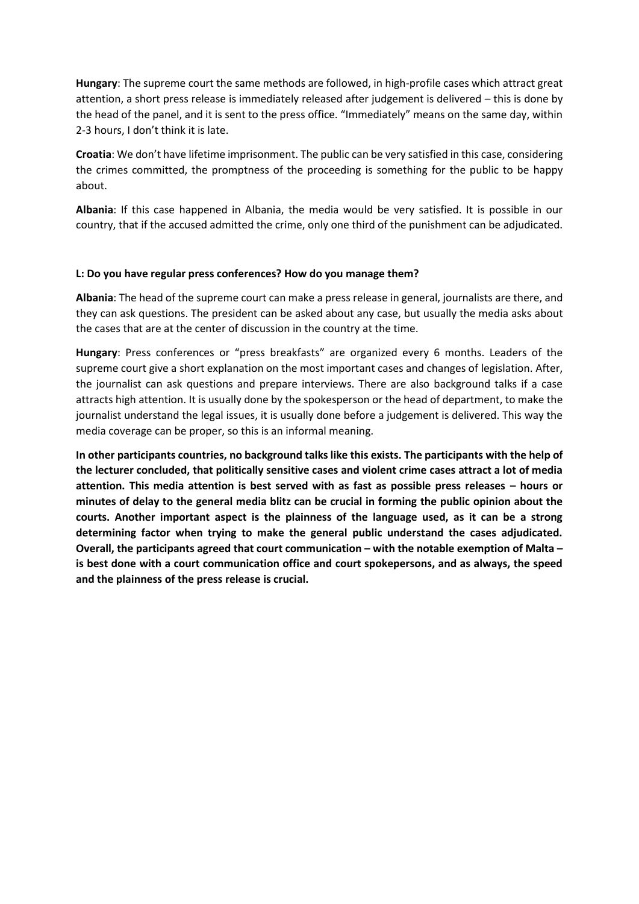**Hungary**: The supreme court the same methods are followed, in high-profile cases which attract great attention, a short press release is immediately released after judgement is delivered – this is done by the head of the panel, and it is sent to the press office. "Immediately" means on the same day, within 2-3 hours, I don't think it is late.

**Croatia**: We don't have lifetime imprisonment. The public can be very satisfied in this case, considering the crimes committed, the promptness of the proceeding is something for the public to be happy about.

**Albania**: If this case happened in Albania, the media would be very satisfied. It is possible in our country, that if the accused admitted the crime, only one third of the punishment can be adjudicated.

### **L: Do you have regular press conferences? How do you manage them?**

**Albania**: The head of the supreme court can make a press release in general, journalists are there, and they can ask questions. The president can be asked about any case, but usually the media asks about the cases that are at the center of discussion in the country at the time.

**Hungary**: Press conferences or "press breakfasts" are organized every 6 months. Leaders of the supreme court give a short explanation on the most important cases and changes of legislation. After, the journalist can ask questions and prepare interviews. There are also background talks if a case attracts high attention. It is usually done by the spokesperson or the head of department, to make the journalist understand the legal issues, it is usually done before a judgement is delivered. This way the media coverage can be proper, so this is an informal meaning.

**In other participants countries, no background talks like this exists. The participants with the help of the lecturer concluded, that politically sensitive cases and violent crime cases attract a lot of media attention. This media attention is best served with as fast as possible press releases – hours or minutes of delay to the general media blitz can be crucial in forming the public opinion about the courts. Another important aspect is the plainness of the language used, as it can be a strong determining factor when trying to make the general public understand the cases adjudicated. Overall, the participants agreed that court communication – with the notable exemption of Malta – is best done with a court communication office and court spokepersons, and as always, the speed and the plainness of the press release is crucial.**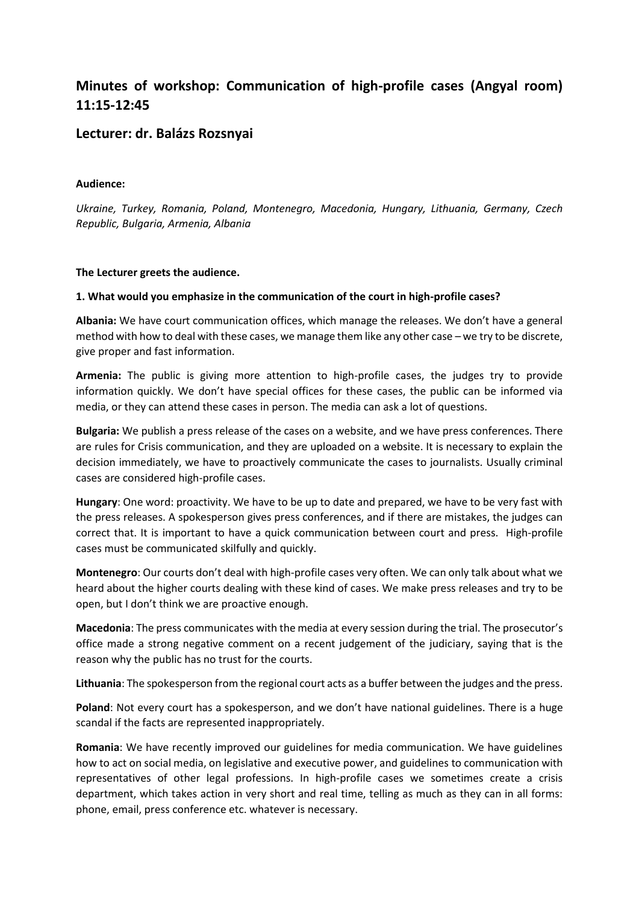# **Minutes of workshop: Communication of high-profile cases (Angyal room) 11:15-12:45**

# **Lecturer: dr. Balázs Rozsnyai**

#### **Audience:**

*Ukraine, Turkey, Romania, Poland, Montenegro, Macedonia, Hungary, Lithuania, Germany, Czech Republic, Bulgaria, Armenia, Albania*

### **The Lecturer greets the audience.**

### **1. What would you emphasize in the communication of the court in high-profile cases?**

**Albania:** We have court communication offices, which manage the releases. We don't have a general method with how to deal with these cases, we manage them like any other case – we try to be discrete, give proper and fast information.

**Armenia:** The public is giving more attention to high-profile cases, the judges try to provide information quickly. We don't have special offices for these cases, the public can be informed via media, or they can attend these cases in person. The media can ask a lot of questions.

**Bulgaria:** We publish a press release of the cases on a website, and we have press conferences. There are rules for Crisis communication, and they are uploaded on a website. It is necessary to explain the decision immediately, we have to proactively communicate the cases to journalists. Usually criminal cases are considered high-profile cases.

**Hungary**: One word: proactivity. We have to be up to date and prepared, we have to be very fast with the press releases. A spokesperson gives press conferences, and if there are mistakes, the judges can correct that. It is important to have a quick communication between court and press. High-profile cases must be communicated skilfully and quickly.

**Montenegro**: Our courts don't deal with high-profile cases very often. We can only talk about what we heard about the higher courts dealing with these kind of cases. We make press releases and try to be open, but I don't think we are proactive enough.

**Macedonia**: The press communicates with the media at every session during the trial. The prosecutor's office made a strong negative comment on a recent judgement of the judiciary, saying that is the reason why the public has no trust for the courts.

**Lithuania**: The spokesperson from the regional court acts as a buffer between the judges and the press.

**Poland**: Not every court has a spokesperson, and we don't have national guidelines. There is a huge scandal if the facts are represented inappropriately.

**Romania**: We have recently improved our guidelines for media communication. We have guidelines how to act on social media, on legislative and executive power, and guidelines to communication with representatives of other legal professions. In high-profile cases we sometimes create a crisis department, which takes action in very short and real time, telling as much as they can in all forms: phone, email, press conference etc. whatever is necessary.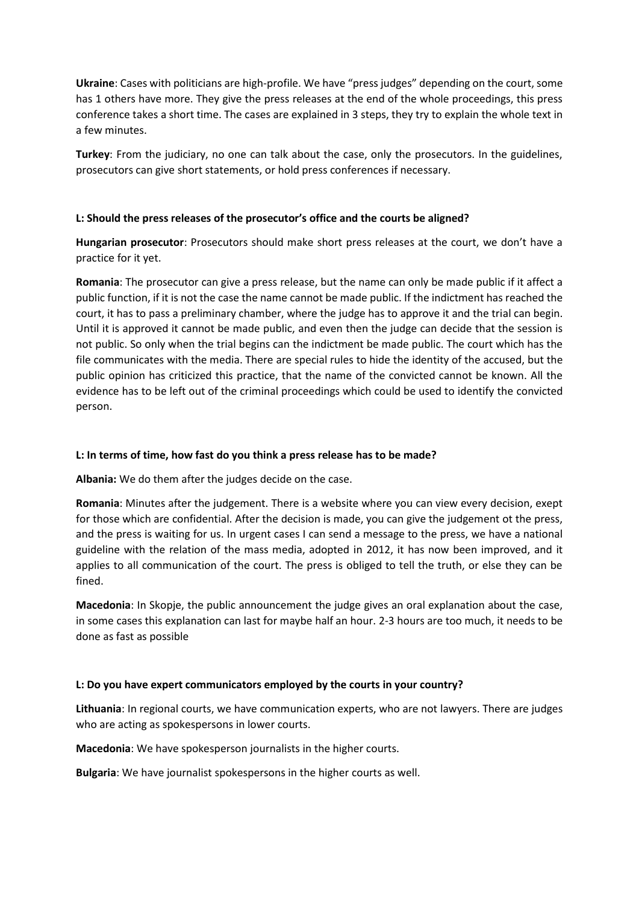**Ukraine**: Cases with politicians are high-profile. We have "press judges" depending on the court, some has 1 others have more. They give the press releases at the end of the whole proceedings, this press conference takes a short time. The cases are explained in 3 steps, they try to explain the whole text in a few minutes.

**Turkey**: From the judiciary, no one can talk about the case, only the prosecutors. In the guidelines, prosecutors can give short statements, or hold press conferences if necessary.

### **L: Should the press releases of the prosecutor's office and the courts be aligned?**

**Hungarian prosecutor**: Prosecutors should make short press releases at the court, we don't have a practice for it yet.

**Romania**: The prosecutor can give a press release, but the name can only be made public if it affect a public function, if it is not the case the name cannot be made public. If the indictment has reached the court, it has to pass a preliminary chamber, where the judge has to approve it and the trial can begin. Until it is approved it cannot be made public, and even then the judge can decide that the session is not public. So only when the trial begins can the indictment be made public. The court which has the file communicates with the media. There are special rules to hide the identity of the accused, but the public opinion has criticized this practice, that the name of the convicted cannot be known. All the evidence has to be left out of the criminal proceedings which could be used to identify the convicted person.

### **L: In terms of time, how fast do you think a press release has to be made?**

**Albania:** We do them after the judges decide on the case.

**Romania**: Minutes after the judgement. There is a website where you can view every decision, exept for those which are confidential. After the decision is made, you can give the judgement ot the press, and the press is waiting for us. In urgent cases I can send a message to the press, we have a national guideline with the relation of the mass media, adopted in 2012, it has now been improved, and it applies to all communication of the court. The press is obliged to tell the truth, or else they can be fined.

**Macedonia**: In Skopje, the public announcement the judge gives an oral explanation about the case, in some cases this explanation can last for maybe half an hour. 2-3 hours are too much, it needs to be done as fast as possible

#### **L: Do you have expert communicators employed by the courts in your country?**

**Lithuania**: In regional courts, we have communication experts, who are not lawyers. There are judges who are acting as spokespersons in lower courts.

**Macedonia**: We have spokesperson journalists in the higher courts.

**Bulgaria**: We have journalist spokespersons in the higher courts as well.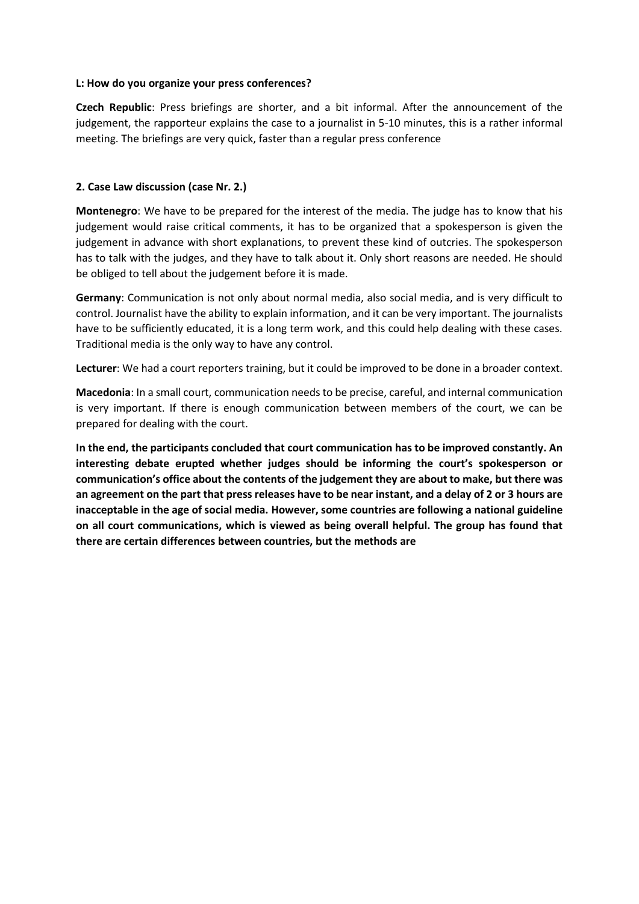#### **L: How do you organize your press conferences?**

**Czech Republic**: Press briefings are shorter, and a bit informal. After the announcement of the judgement, the rapporteur explains the case to a journalist in 5-10 minutes, this is a rather informal meeting. The briefings are very quick, faster than a regular press conference

#### **2. Case Law discussion (case Nr. 2.)**

**Montenegro**: We have to be prepared for the interest of the media. The judge has to know that his judgement would raise critical comments, it has to be organized that a spokesperson is given the judgement in advance with short explanations, to prevent these kind of outcries. The spokesperson has to talk with the judges, and they have to talk about it. Only short reasons are needed. He should be obliged to tell about the judgement before it is made.

**Germany**: Communication is not only about normal media, also social media, and is very difficult to control. Journalist have the ability to explain information, and it can be very important. The journalists have to be sufficiently educated, it is a long term work, and this could help dealing with these cases. Traditional media is the only way to have any control.

**Lecturer**: We had a court reporters training, but it could be improved to be done in a broader context.

**Macedonia**: In a small court, communication needs to be precise, careful, and internal communication is very important. If there is enough communication between members of the court, we can be prepared for dealing with the court.

**In the end, the participants concluded that court communication has to be improved constantly. An interesting debate erupted whether judges should be informing the court's spokesperson or communication's office about the contents of the judgement they are about to make, but there was an agreement on the part that press releases have to be near instant, and a delay of 2 or 3 hours are inacceptable in the age of social media. However, some countries are following a national guideline on all court communications, which is viewed as being overall helpful. The group has found that there are certain differences between countries, but the methods are**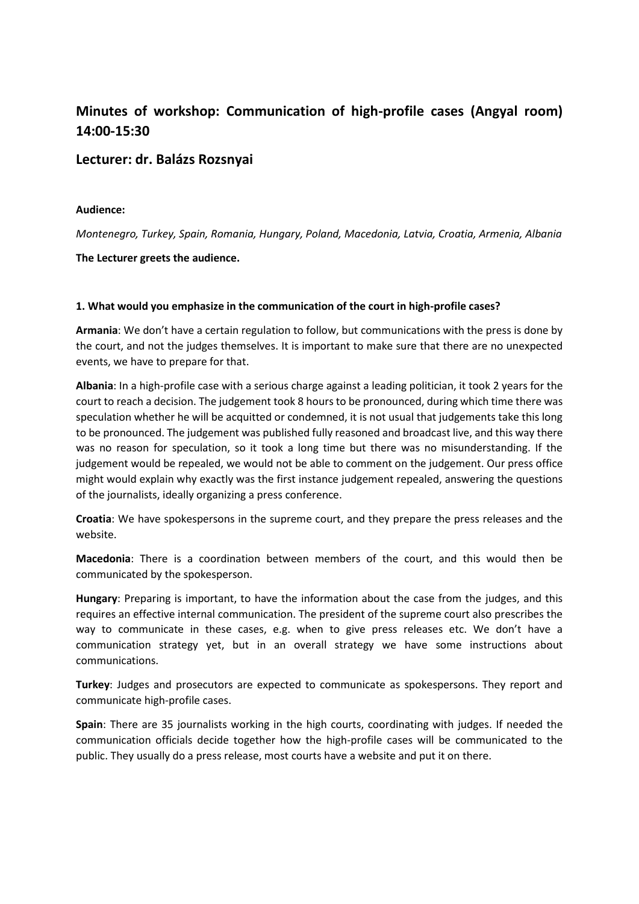# **Minutes of workshop: Communication of high-profile cases (Angyal room) 14:00-15:30**

## **Lecturer: dr. Balázs Rozsnyai**

#### **Audience:**

*Montenegro, Turkey, Spain, Romania, Hungary, Poland, Macedonia, Latvia, Croatia, Armenia, Albania*

**The Lecturer greets the audience.** 

#### **1. What would you emphasize in the communication of the court in high-profile cases?**

**Armania**: We don't have a certain regulation to follow, but communications with the press is done by the court, and not the judges themselves. It is important to make sure that there are no unexpected events, we have to prepare for that.

**Albania**: In a high-profile case with a serious charge against a leading politician, it took 2 years for the court to reach a decision. The judgement took 8 hours to be pronounced, during which time there was speculation whether he will be acquitted or condemned, it is not usual that judgements take this long to be pronounced. The judgement was published fully reasoned and broadcast live, and this way there was no reason for speculation, so it took a long time but there was no misunderstanding. If the judgement would be repealed, we would not be able to comment on the judgement. Our press office might would explain why exactly was the first instance judgement repealed, answering the questions of the journalists, ideally organizing a press conference.

**Croatia**: We have spokespersons in the supreme court, and they prepare the press releases and the website.

**Macedonia**: There is a coordination between members of the court, and this would then be communicated by the spokesperson.

**Hungary**: Preparing is important, to have the information about the case from the judges, and this requires an effective internal communication. The president of the supreme court also prescribes the way to communicate in these cases, e.g. when to give press releases etc. We don't have a communication strategy yet, but in an overall strategy we have some instructions about communications.

**Turkey**: Judges and prosecutors are expected to communicate as spokespersons. They report and communicate high-profile cases.

**Spain**: There are 35 journalists working in the high courts, coordinating with judges. If needed the communication officials decide together how the high-profile cases will be communicated to the public. They usually do a press release, most courts have a website and put it on there.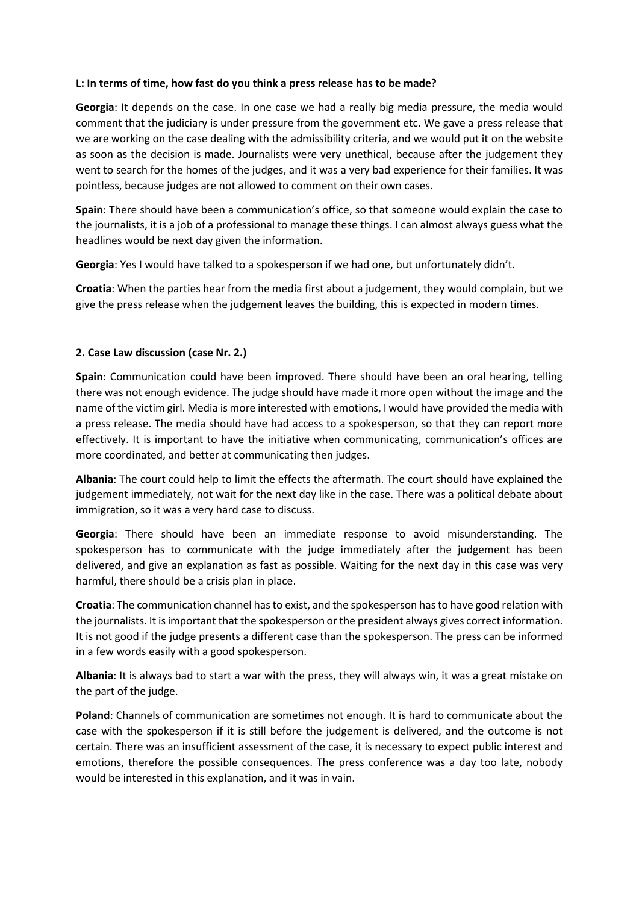#### **L: In terms of time, how fast do you think a press release has to be made?**

**Georgia**: It depends on the case. In one case we had a really big media pressure, the media would comment that the judiciary is under pressure from the government etc. We gave a press release that we are working on the case dealing with the admissibility criteria, and we would put it on the website as soon as the decision is made. Journalists were very unethical, because after the judgement they went to search for the homes of the judges, and it was a very bad experience for their families. It was pointless, because judges are not allowed to comment on their own cases.

**Spain**: There should have been a communication's office, so that someone would explain the case to the journalists, it is a job of a professional to manage these things. I can almost always guess what the headlines would be next day given the information.

**Georgia**: Yes I would have talked to a spokesperson if we had one, but unfortunately didn't.

**Croatia**: When the parties hear from the media first about a judgement, they would complain, but we give the press release when the judgement leaves the building, this is expected in modern times.

### **2. Case Law discussion (case Nr. 2.)**

**Spain**: Communication could have been improved. There should have been an oral hearing, telling there was not enough evidence. The judge should have made it more open without the image and the name of the victim girl. Media is more interested with emotions, I would have provided the media with a press release. The media should have had access to a spokesperson, so that they can report more effectively. It is important to have the initiative when communicating, communication's offices are more coordinated, and better at communicating then judges.

**Albania**: The court could help to limit the effects the aftermath. The court should have explained the judgement immediately, not wait for the next day like in the case. There was a political debate about immigration, so it was a very hard case to discuss.

**Georgia**: There should have been an immediate response to avoid misunderstanding. The spokesperson has to communicate with the judge immediately after the judgement has been delivered, and give an explanation as fast as possible. Waiting for the next day in this case was very harmful, there should be a crisis plan in place.

**Croatia**: The communication channel has to exist, and the spokesperson has to have good relation with the journalists. It is important that the spokesperson or the president always gives correct information. It is not good if the judge presents a different case than the spokesperson. The press can be informed in a few words easily with a good spokesperson.

**Albania**: It is always bad to start a war with the press, they will always win, it was a great mistake on the part of the judge.

**Poland**: Channels of communication are sometimes not enough. It is hard to communicate about the case with the spokesperson if it is still before the judgement is delivered, and the outcome is not certain. There was an insufficient assessment of the case, it is necessary to expect public interest and emotions, therefore the possible consequences. The press conference was a day too late, nobody would be interested in this explanation, and it was in vain.